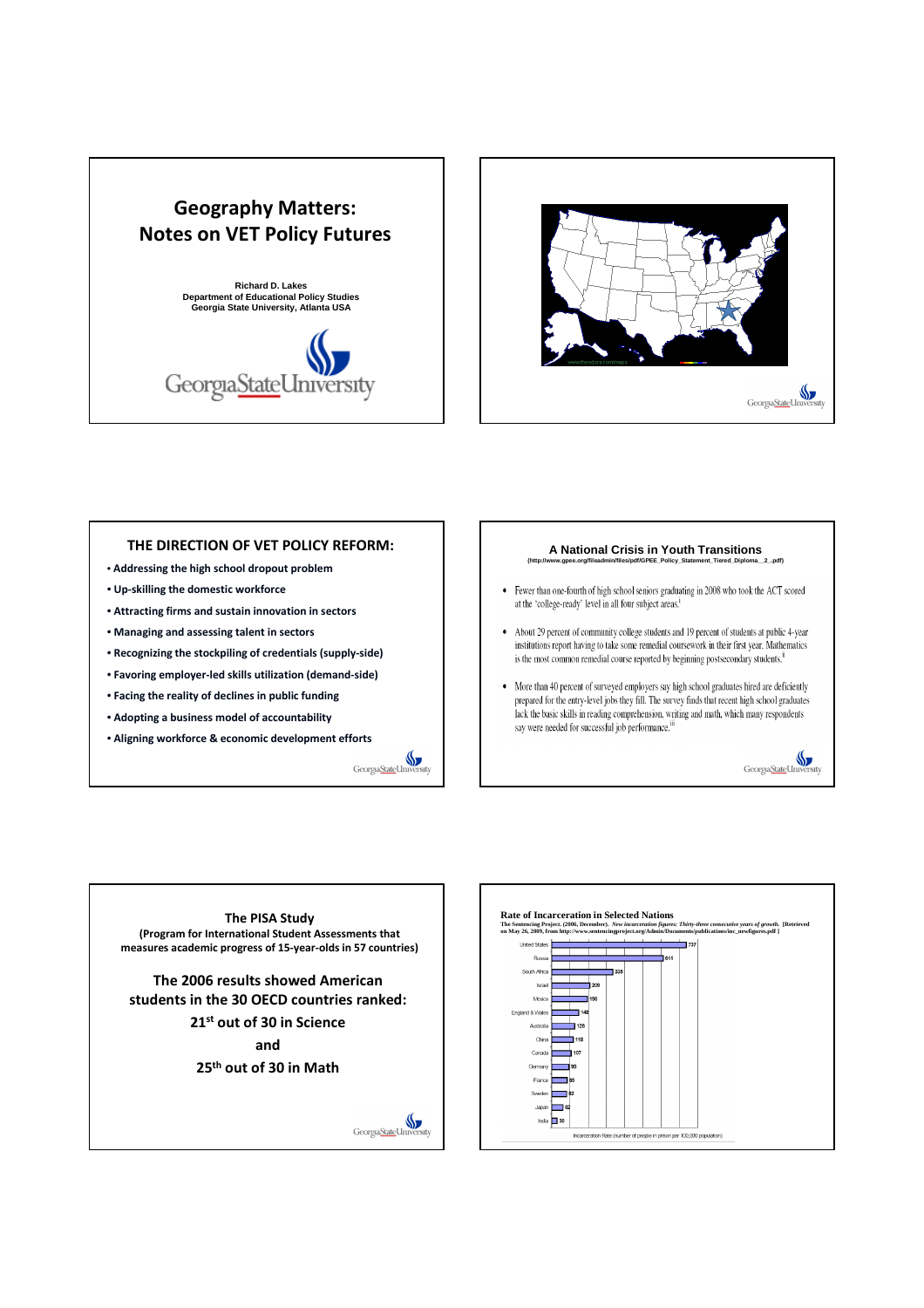



## THE DIRECTION OF VET POLICY REFORM:

- Addressing the high school dropout problem
- Up-skilling the domestic workforce
- Attracting firms and sustain innovation in sectors
- Managing and assessing talent in sectors
- Recognizing the stockpiling of credentials (supply-side)
- Favoring employer-led skills utilization (demand-side)
- Facing the reality of declines in public funding
- Adopting a business model of accountability
- Aligning workforce & economic development efforts  $\mathbb{S}$



#### **A National Crisis in Youth Transitions (http://www.gpee.org/fileadmin/files/pdf/GPEE\_Policy\_Statement\_Tiered\_Diploma\_\_2\_.pdf)**

- Fewer than one-fourth of high school seniors graduating in 2008 who took the ACT scored at the 'college-ready' level in all four subject areas.<sup>1</sup>
- About 29 percent of community college students and 19 percent of students at public 4-year institutions report having to take some remedial coursework in their first year. Mathematics is the most common remedial course reported by beginning postsecondary students.<sup>ii</sup>
- $\bullet$  More than 40 percent of surveyed employers say high school graduates hired are deficiently prepared for the entry-level jobs they fill. The survey finds that recent high school graduates lack the basic skills in reading comprehension, writing and math, which many respondents say were needed for successful job performance.<sup>11</sup>



The PISA Study (Program for International Student Assessments that measures academic progress of 15-year-olds in 57 countries)

The 2006 results showed American students in the 30 OECD countries ranked:

> 21st out of 30 in Science and

25<sup>th</sup> out of 30 in Math



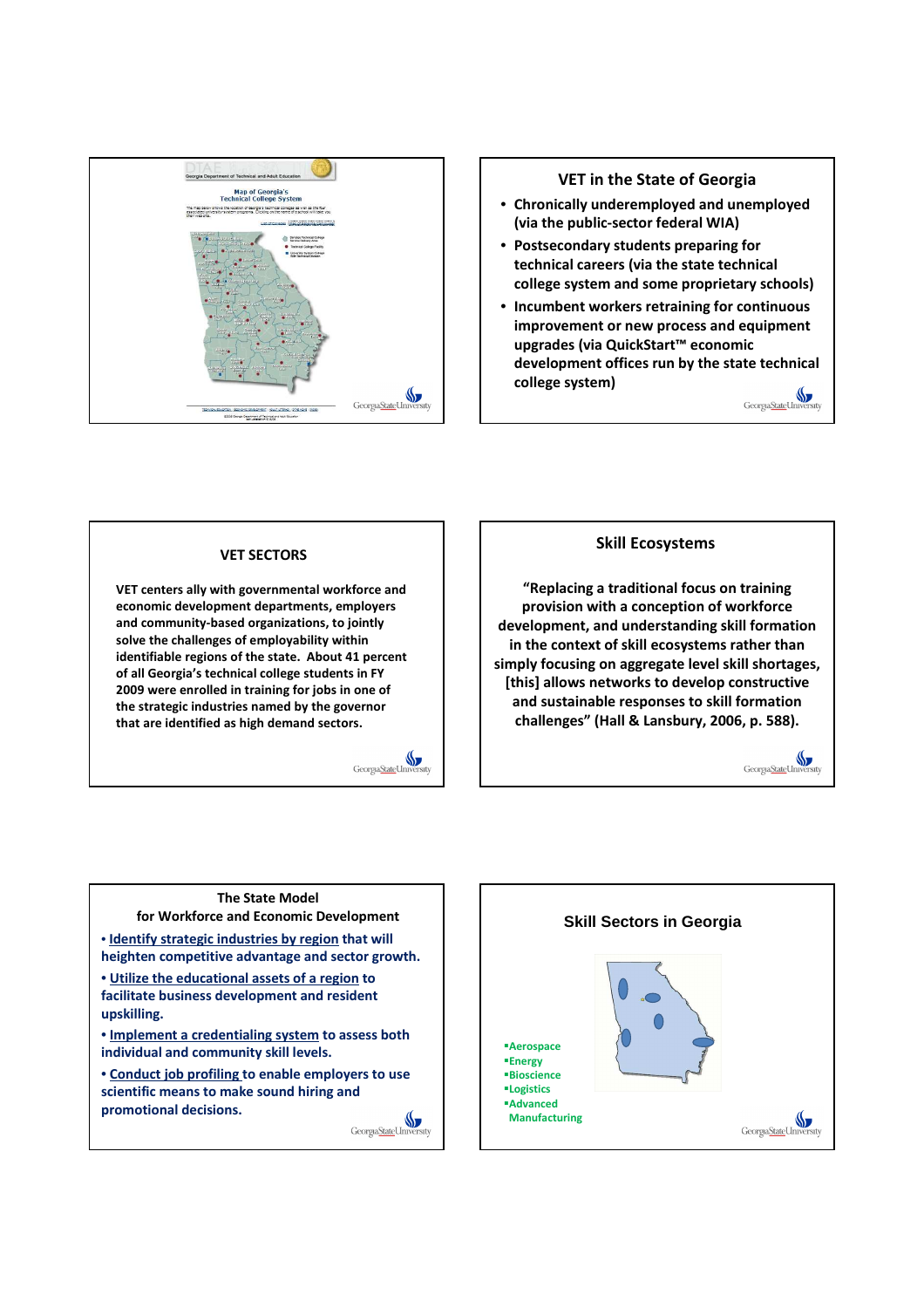

# VET in the State of Georgia

- Chronically underemployed and unemployed (via the public-sector federal WIA)
- Postsecondary students preparing for technical careers (via the state technical college system and some proprietary schools)
- Incumbent workers retraining for continuous improvement or new process and equipment upgrades (via QuickStart™ economic development offices run by the state technical college system) Georgia State Universit

VET SECTORS

VET centers ally with governmental workforce and economic development departments, employers and community-based organizations, to jointly solve the challenges of employability within identifiable regions of the state. About 41 percent of all Georgia's technical college students in FY 2009 were enrolled in training for jobs in one of the strategic industries named by the governor that are identified as high demand sectors.



## Skill Ecosystems

"Replacing a traditional focus on training provision with a conception of workforce development, and understanding skill formation in the context of skill ecosystems rather than simply focusing on aggregate level skill shortages, [this] allows networks to develop constructive and sustainable responses to skill formation challenges" (Hall & Lansbury, 2006, p. 588).



#### The State Model for Workforce and Economic Development

• Identify strategic industries by region that will heighten competitive advantage and sector growth.

• Utilize the educational assets of a region to facilitate business development and resident upskilling.

• Implement a credentialing system to assess both individual and community skill levels.

• Conduct job profiling to enable employers to use scientific means to make sound hiring and promotional decisions.

Georgia State Universi

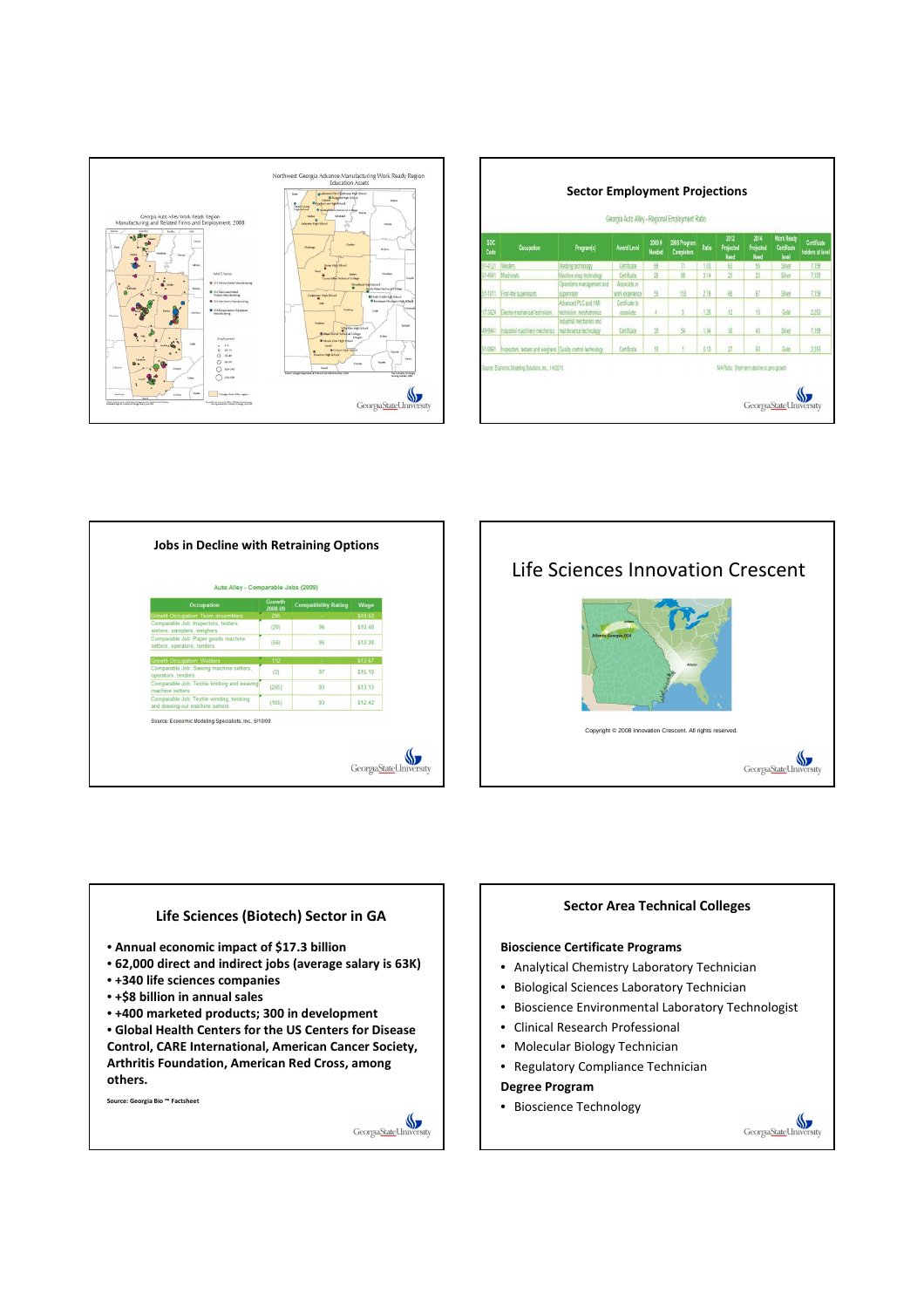

| Georgia Auto Alley - Regional Employment Ratio |                                                                     |                                                    |                                 |                        |                                   |         |                           |                           |                                                  |                                 |  |  |  |
|------------------------------------------------|---------------------------------------------------------------------|----------------------------------------------------|---------------------------------|------------------------|-----------------------------------|---------|---------------------------|---------------------------|--------------------------------------------------|---------------------------------|--|--|--|
| <b>SOC</b><br>Code                             | Occupation                                                          | Program(s)                                         | <b>Award Level</b>              | 2009#<br><b>Needed</b> | 2008 Program<br><b>Completers</b> | Ratio   | 2012<br>Projected<br>Need | 2014<br>Projected<br>Need | <b>Work Ready</b><br><b>Certificate</b><br>level | Certificate<br>holders at level |  |  |  |
| 51-4121                                        | <b>Welders</b>                                                      | Welding technology                                 | Certificate                     | 69                     | 71                                | 1.03    | 63                        | 55                        | Styer                                            | 7,159                           |  |  |  |
| 51-4041                                        | Machinists                                                          | Machine shop technology                            | Certificate                     | 28                     | 88                                | 3.14    | 25                        | $\overline{23}$           | Stree                                            | 7,159                           |  |  |  |
| 51-1011                                        | First-line supervisors                                              | Operations management and<br>supervision           | Associate or<br>work experience | 55                     | 153                               | 278     | 68                        | 67                        | Sher                                             | 7,158                           |  |  |  |
| 17-3024                                        | Electro-mechanical technician                                       | Advanced PLC and HMI<br>technician, mechatronics   | Certificate to<br>associate     |                        |                                   | 125     | 12                        | 13                        | Gold                                             | 2,253                           |  |  |  |
| 49-9041                                        | Industrial machinery mechanics                                      | Industrial mechanics and<br>maintenance technology | Certificate                     | 35                     | 54                                | 1.54    | 30                        | 45                        | Sher                                             | 7,159                           |  |  |  |
|                                                | 51-9061 Inspectors, testers and weighers Quality control technology |                                                    | Certificate                     | 10                     |                                   | $-0.10$ | $\overline{\mathbf{2}}$   | 50                        | Gold                                             | 2.253                           |  |  |  |

| <b>Occupation</b>                                                            | <b>Growth</b><br>2008-09 | <b>Compatibility Rating</b> | Wage                           |
|------------------------------------------------------------------------------|--------------------------|-----------------------------|--------------------------------|
| <b>Growth Occupation: Team assemblers</b>                                    | 295                      |                             | \$10.52                        |
| Comparable Job: Inspectors, testers,<br>sorters, samplers, weighers          | (20)                     | 96                          | \$10.48                        |
| Comparable Job: Paper goods machine<br>setters, operators, tenders           | (56)                     | 95                          | \$13.38                        |
| <b>Growth Occupation: Welders</b>                                            | 112                      |                             | \$13.67                        |
| Comparable Job: Sawing machine setters,<br>operators, tenders                | (3)                      | 97                          | \$15.19                        |
| Comparable Job: Textile knitting and weaving<br>machine setters              | (245)                    | 93                          | \$13.13                        |
| Comparable Job: Textile winding, twisting<br>and drawing-out machine setters | (105)                    | 93                          | S <sub>12</sub> 4 <sub>2</sub> |





#### Sector Area Technical Colleges

## Bioscience Certificate Programs

- Analytical Chemistry Laboratory Technician
- Biological Sciences Laboratory Technician
- Bioscience Environmental Laboratory Technologist

Georgia State Universi

- Clinical Research Professional
- Molecular Biology Technician
- Regulatory Compliance Technician

Degree Program

• Bioscience Technology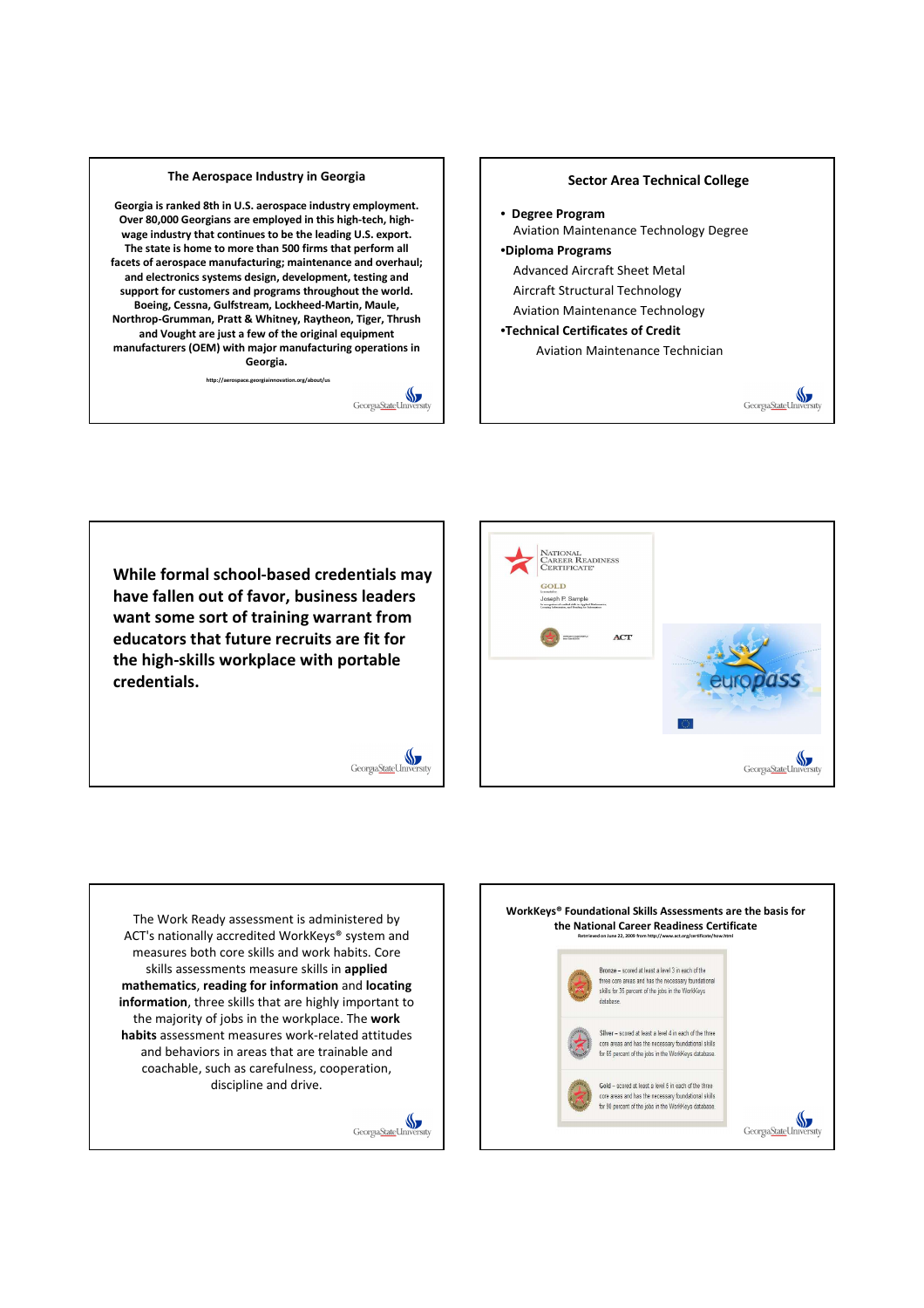

While formal school-based credentials may have fallen out of favor, business leaders want some sort of training warrant from educators that future recruits are fit for the high-skills workplace with portable credentials.

Georgia State Universi

Georgia State Univers



The Work Ready assessment is administered by ACT's nationally accredited WorkKeys® system and measures both core skills and work habits. Core skills assessments measure skills in applied mathematics, reading for information and locating information, three skills that are highly important to the majority of jobs in the workplace. The work habits assessment measures work-related attitudes and behaviors in areas that are trainable and coachable, such as carefulness, cooperation, discipline and drive.

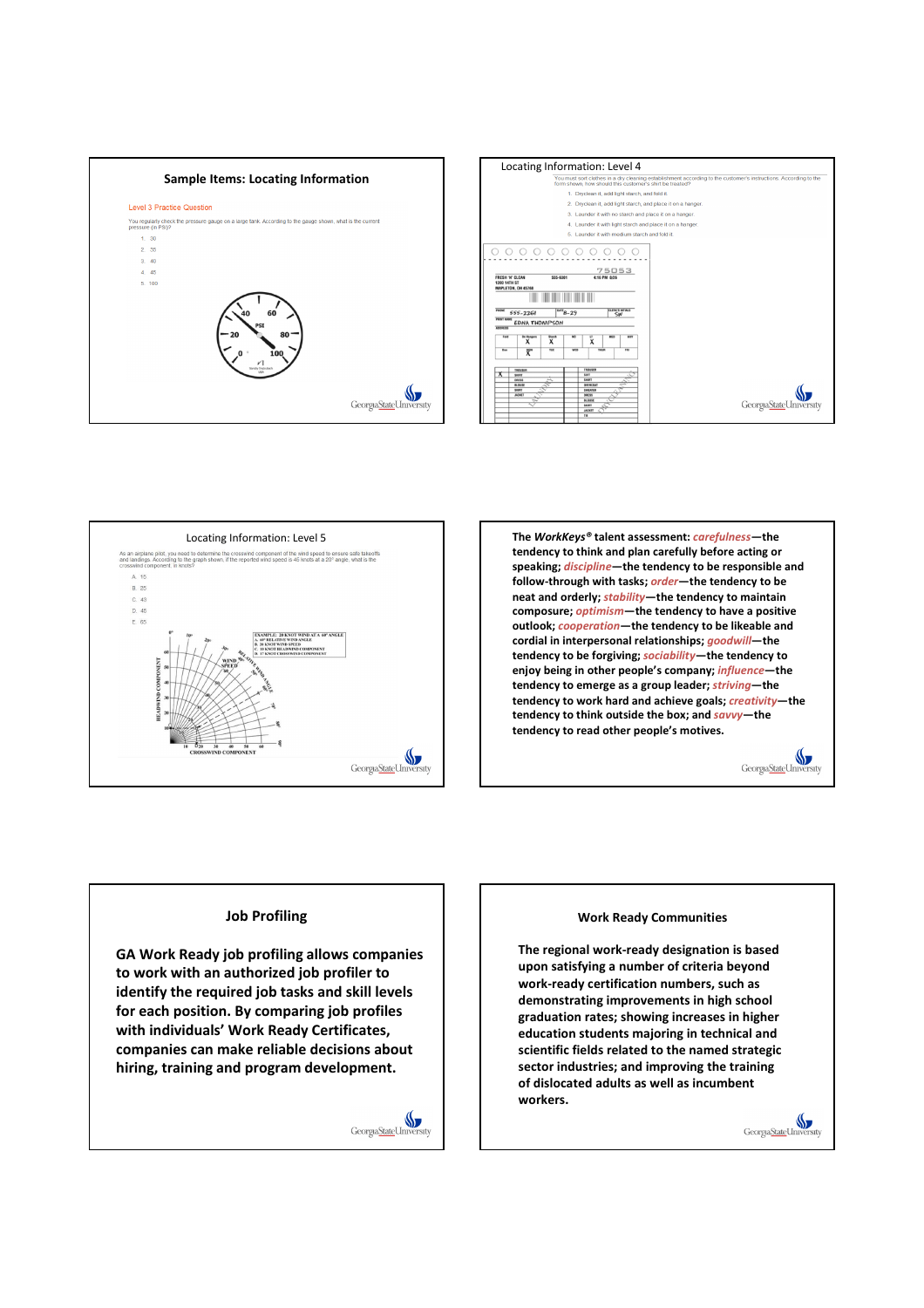







#### Job Profiling

GA Work Ready job profiling allows companies to work with an authorized job profiler to identify the required job tasks and skill levels for each position. By comparing job profiles with individuals' Work Ready Certificates, companies can make reliable decisions about hiring, training and program development.



#### Work Ready Communities

The regional work-ready designation is based upon satisfying a number of criteria beyond work-ready certification numbers, such as demonstrating improvements in high school graduation rates; showing increases in higher education students majoring in technical and scientific fields related to the named strategic sector industries; and improving the training of dislocated adults as well as incumbent workers.

> $\mathbb{S}$ Georgia State Uni